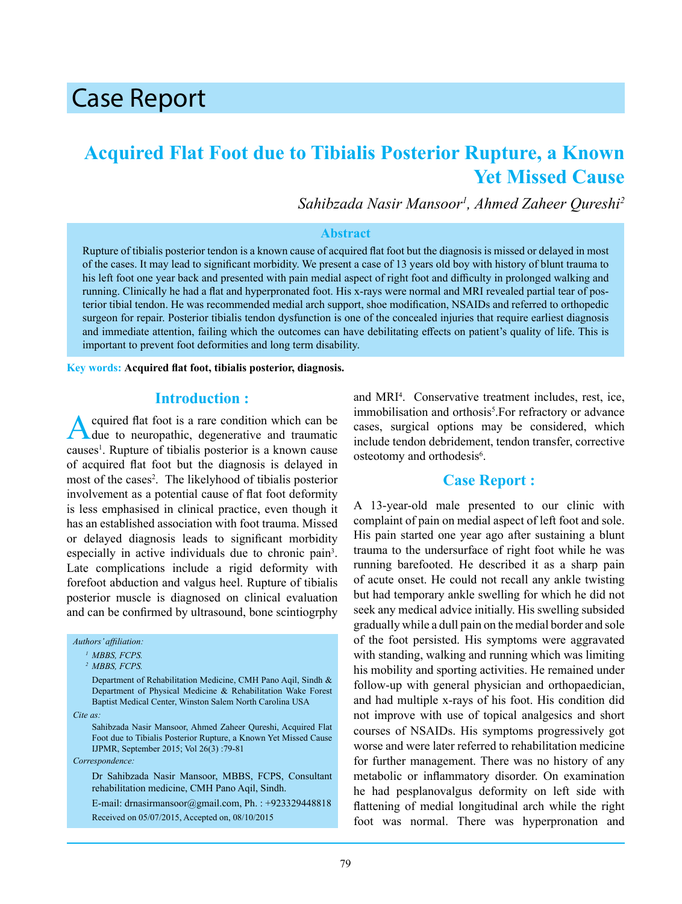# Case Report

# **Acquired Flat Foot due to Tibialis Posterior Rupture, a Known Yet Missed Cause**

*Sahibzada Nasir Mansoor<sup>1</sup> , Ahmed Zaheer Qureshi2*

#### **Abstract**

Rupture of tibialis posterior tendon is a known cause of acquired flat foot but the diagnosis is missed or delayed in most of the cases. It may lead to significant morbidity. We present a case of 13 years old boy with history of blunt trauma to his left foot one year back and presented with pain medial aspect of right foot and difficulty in prolonged walking and running. Clinically he had a flat and hyperpronated foot. His x-rays were normal and MRI revealed partial tear of posterior tibial tendon. He was recommended medial arch support, shoe modification, NSAIDs and referred to orthopedic surgeon for repair. Posterior tibialis tendon dysfunction is one of the concealed injuries that require earliest diagnosis and immediate attention, failing which the outcomes can have debilitating effects on patient's quality of life. This is important to prevent foot deformities and long term disability.

**Key words: Acquired flat foot, tibialis posterior, diagnosis.**

#### **Introduction :**

Acquired flat foot is a rare condition which can be due to neuropathic, degenerative and traumatic causes<sup>1</sup>. Rupture of tibialis posterior is a known cause of acquired flat foot but the diagnosis is delayed in most of the cases<sup>2</sup>. The likelyhood of tibialis posterior involvement as a potential cause of flat foot deformity is less emphasised in clinical practice, even though it has an established association with foot trauma. Missed or delayed diagnosis leads to significant morbidity especially in active individuals due to chronic pain<sup>3</sup>. Late complications include a rigid deformity with forefoot abduction and valgus heel. Rupture of tibialis posterior muscle is diagnosed on clinical evaluation and can be confirmed by ultrasound, bone scintiogrphy

*Authors' affiliation:*

Department of Rehabilitation Medicine, CMH Pano Aqil, Sindh & Department of Physical Medicine & Rehabilitation Wake Forest Baptist Medical Center, Winston Salem North Carolina USA

*Cite as:*

 Sahibzada Nasir Mansoor, Ahmed Zaheer Qureshi, Acquired Flat Foot due to Tibialis Posterior Rupture, a Known Yet Missed Cause IJPMR, September 2015; Vol 26(3) :79-81

*Correspondence:*

Dr Sahibzada Nasir Mansoor, MBBS, FCPS, Consultant rehabilitation medicine, CMH Pano Aqil, Sindh.

E-mail: drnasirmansoor@gmail.com, Ph. : +923329448818 Received on 05/07/2015, Accepted on, 08/10/2015

and MRI<sup>4</sup>. Conservative treatment includes, rest, ice, immobilisation and orthosis<sup>5</sup>. For refractory or advance cases, surgical options may be considered, which include tendon debridement, tendon transfer, corrective osteotomy and orthodesis<sup>6</sup>.

#### **Case Report :**

A 13-year-old male presented to our clinic with complaint of pain on medial aspect of left foot and sole. His pain started one year ago after sustaining a blunt trauma to the undersurface of right foot while he was running barefooted. He described it as a sharp pain of acute onset. He could not recall any ankle twisting but had temporary ankle swelling for which he did not seek any medical advice initially. His swelling subsided gradually while a dull pain on the medial border and sole of the foot persisted. His symptoms were aggravated with standing, walking and running which was limiting his mobility and sporting activities. He remained under follow-up with general physician and orthopaedician, and had multiple x-rays of his foot. His condition did not improve with use of topical analgesics and short courses of NSAIDs. His symptoms progressively got worse and were later referred to rehabilitation medicine for further management. There was no history of any metabolic or inflammatory disorder. On examination he had pesplanovalgus deformity on left side with flattening of medial longitudinal arch while the right foot was normal. There was hyperpronation and

*<sup>1</sup>MBBS, FCPS.* 

*<sup>2</sup>MBBS, FCPS.*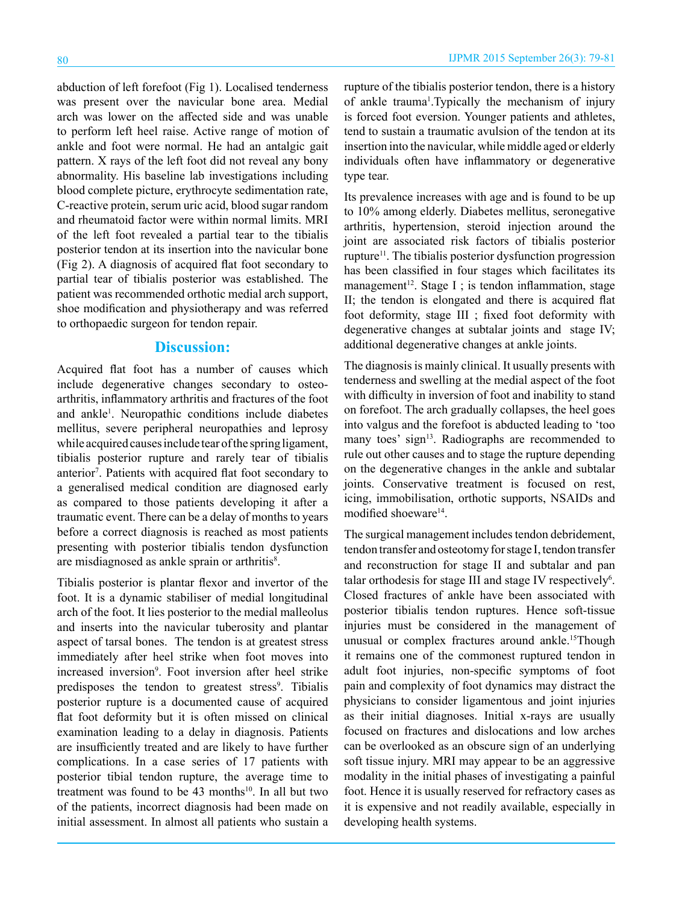abduction of left forefoot (Fig 1). Localised tenderness was present over the navicular bone area. Medial arch was lower on the affected side and was unable to perform left heel raise. Active range of motion of ankle and foot were normal. He had an antalgic gait pattern. X rays of the left foot did not reveal any bony abnormality. His baseline lab investigations including blood complete picture, erythrocyte sedimentation rate, C-reactive protein, serum uric acid, blood sugar random and rheumatoid factor were within normal limits. MRI of the left foot revealed a partial tear to the tibialis posterior tendon at its insertion into the navicular bone (Fig 2). A diagnosis of acquired flat foot secondary to partial tear of tibialis posterior was established. The patient was recommended orthotic medial arch support, shoe modification and physiotherapy and was referred to orthopaedic surgeon for tendon repair.

### **Discussion:**

Acquired flat foot has a number of causes which include degenerative changes secondary to osteoarthritis, inflammatory arthritis and fractures of the foot and ankle<sup>1</sup>. Neuropathic conditions include diabetes mellitus, severe peripheral neuropathies and leprosy while acquired causes include tear of the spring ligament, tibialis posterior rupture and rarely tear of tibialis anterior<sup>7</sup>. Patients with acquired flat foot secondary to a generalised medical condition are diagnosed early as compared to those patients developing it after a traumatic event. There can be a delay of months to years before a correct diagnosis is reached as most patients presenting with posterior tibialis tendon dysfunction are misdiagnosed as ankle sprain or arthritis<sup>8</sup>.

Tibialis posterior is plantar flexor and invertor of the foot. It is a dynamic stabiliser of medial longitudinal arch of the foot. It lies posterior to the medial malleolus and inserts into the navicular tuberosity and plantar aspect of tarsal bones. The tendon is at greatest stress immediately after heel strike when foot moves into increased inversion<sup>9</sup>. Foot inversion after heel strike predisposes the tendon to greatest stress<sup>9</sup>. Tibialis posterior rupture is a documented cause of acquired flat foot deformity but it is often missed on clinical examination leading to a delay in diagnosis. Patients are insufficiently treated and are likely to have further complications. In a case series of 17 patients with posterior tibial tendon rupture, the average time to treatment was found to be  $43$  months<sup>10</sup>. In all but two of the patients, incorrect diagnosis had been made on initial assessment. In almost all patients who sustain a

rupture of the tibialis posterior tendon, there is a history of ankle trauma<sup>1</sup>. Typically the mechanism of injury is forced foot eversion. Younger patients and athletes, tend to sustain a traumatic avulsion of the tendon at its insertion into the navicular, while middle aged or elderly individuals often have inflammatory or degenerative type tear.

Its prevalence increases with age and is found to be up to 10% among elderly. Diabetes mellitus, seronegative arthritis, hypertension, steroid injection around the joint are associated risk factors of tibialis posterior rupture11. The tibialis posterior dysfunction progression has been classified in four stages which facilitates its management<sup>12</sup>. Stage I ; is tendon inflammation, stage II; the tendon is elongated and there is acquired flat foot deformity, stage III ; fixed foot deformity with degenerative changes at subtalar joints and stage IV; additional degenerative changes at ankle joints.

The diagnosis is mainly clinical. It usually presents with tenderness and swelling at the medial aspect of the foot with difficulty in inversion of foot and inability to stand on forefoot. The arch gradually collapses, the heel goes into valgus and the forefoot is abducted leading to 'too many toes' sign<sup>13</sup>. Radiographs are recommended to rule out other causes and to stage the rupture depending on the degenerative changes in the ankle and subtalar joints. Conservative treatment is focused on rest, icing, immobilisation, orthotic supports, NSAIDs and modified shoeware<sup>14</sup>.

The surgical management includes tendon debridement, tendon transfer and osteotomy for stage I, tendon transfer and reconstruction for stage II and subtalar and pan talar orthodesis for stage III and stage IV respectively<sup>6</sup>. Closed fractures of ankle have been associated with posterior tibialis tendon ruptures. Hence soft-tissue injuries must be considered in the management of unusual or complex fractures around ankle.<sup>15</sup>Though it remains one of the commonest ruptured tendon in adult foot injuries, non-specific symptoms of foot pain and complexity of foot dynamics may distract the physicians to consider ligamentous and joint injuries as their initial diagnoses. Initial x-rays are usually focused on fractures and dislocations and low arches can be overlooked as an obscure sign of an underlying soft tissue injury. MRI may appear to be an aggressive modality in the initial phases of investigating a painful foot. Hence it is usually reserved for refractory cases as it is expensive and not readily available, especially in developing health systems.